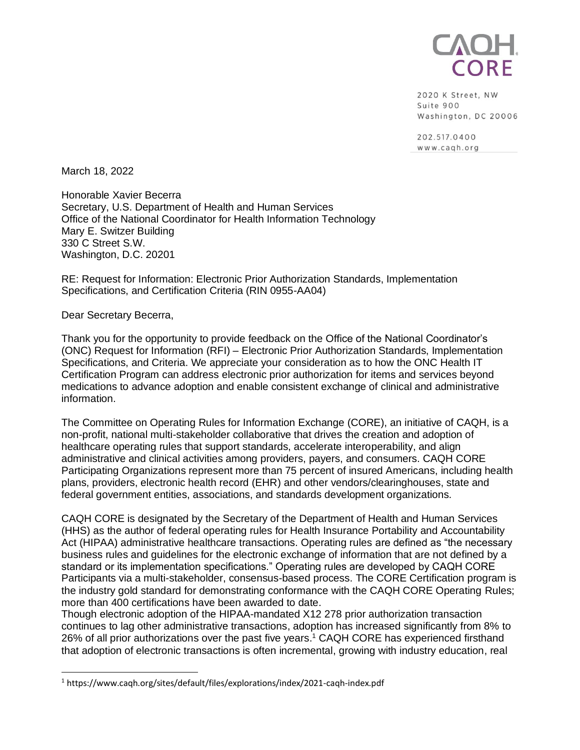

2020 K Street, NW Suite 900 Washington, DC 20006

202.517.0400 www.cagh.org

March 18, 2022

Honorable Xavier Becerra Secretary, U.S. Department of Health and Human Services Office of the National Coordinator for Health Information Technology Mary E. Switzer Building 330 C Street S.W. Washington, D.C. 20201

RE: Request for Information: Electronic Prior Authorization Standards, Implementation Specifications, and Certification Criteria (RIN 0955-AA04)

Dear Secretary Becerra,

Thank you for the opportunity to provide feedback on the Office of the National Coordinator's (ONC) Request for Information (RFI) – Electronic Prior Authorization Standards, Implementation Specifications, and Criteria. We appreciate your consideration as to how the ONC Health IT Certification Program can address electronic prior authorization for items and services beyond medications to advance adoption and enable consistent exchange of clinical and administrative information.

The Committee on Operating Rules for Information Exchange (CORE), an initiative of CAQH, is a non-profit, national multi-stakeholder collaborative that drives the creation and adoption of healthcare operating rules that support standards, accelerate interoperability, and align administrative and clinical activities among providers, payers, and consumers. CAQH CORE Participating Organizations represent more than 75 percent of insured Americans, including health plans, providers, electronic health record (EHR) and other vendors/clearinghouses, state and federal government entities, associations, and standards development organizations.

CAQH CORE is designated by the Secretary of the Department of Health and Human Services (HHS) as the author of federal operating rules for Health Insurance Portability and Accountability Act (HIPAA) administrative healthcare transactions. Operating rules are defined as "the necessary business rules and guidelines for the electronic exchange of information that are not defined by a standard or its implementation specifications." Operating rules are developed by CAQH CORE Participants via a multi-stakeholder, consensus-based process. The CORE Certification program is the industry gold standard for demonstrating conformance with the CAQH CORE Operating Rules; more than 400 certifications have been awarded to date.

Though electronic adoption of the HIPAA-mandated X12 278 prior authorization transaction continues to lag other administrative transactions, adoption has increased significantly from 8% to 26% of all prior authorizations over the past five years. <sup>1</sup> CAQH CORE has experienced firsthand that adoption of electronic transactions is often incremental, growing with industry education, real

<sup>1</sup> https://www.caqh.org/sites/default/files/explorations/index/2021-caqh-index.pdf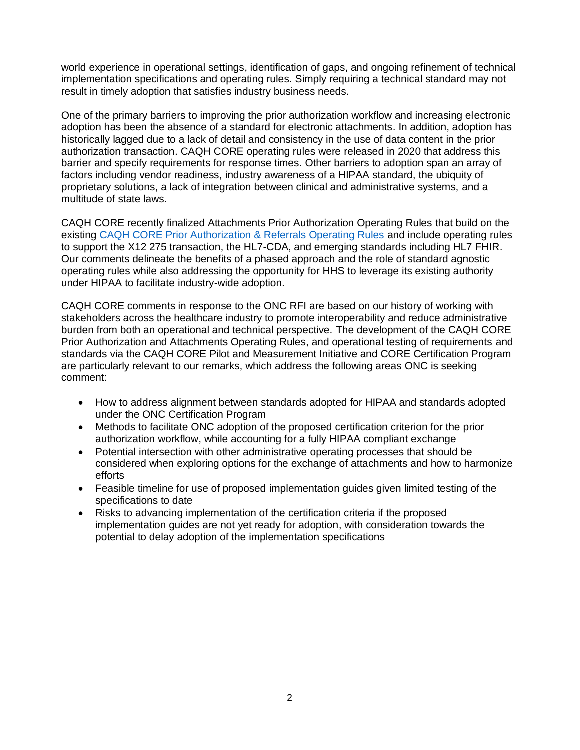world experience in operational settings, identification of gaps, and ongoing refinement of technical implementation specifications and operating rules. Simply requiring a technical standard may not result in timely adoption that satisfies industry business needs.

One of the primary barriers to improving the prior authorization workflow and increasing electronic adoption has been the absence of a standard for electronic attachments. In addition, adoption has historically lagged due to a lack of detail and consistency in the use of data content in the prior authorization transaction. CAQH CORE operating rules were released in 2020 that address this barrier and specify requirements for response times. Other barriers to adoption span an array of factors including vendor readiness, industry awareness of a HIPAA standard, the ubiquity of proprietary solutions, a lack of integration between clinical and administrative systems, and a multitude of state laws.

CAQH CORE recently finalized Attachments Prior Authorization Operating Rules that build on the existing [CAQH CORE Prior Authorization & Referrals Operating Rules](https://www.caqh.org/core/prior-authorization-referrals-operating-rules) and include operating rules to support the X12 275 transaction, the HL7-CDA, and emerging standards including HL7 FHIR. Our comments delineate the benefits of a phased approach and the role of standard agnostic operating rules while also addressing the opportunity for HHS to leverage its existing authority under HIPAA to facilitate industry-wide adoption.

CAQH CORE comments in response to the ONC RFI are based on our history of working with stakeholders across the healthcare industry to promote interoperability and reduce administrative burden from both an operational and technical perspective. The development of the CAQH CORE Prior Authorization and Attachments Operating Rules, and operational testing of requirements and standards via the CAQH CORE Pilot and Measurement Initiative and CORE Certification Program are particularly relevant to our remarks, which address the following areas ONC is seeking comment:

- How to address alignment between standards adopted for HIPAA and standards adopted under the ONC Certification Program
- Methods to facilitate ONC adoption of the proposed certification criterion for the prior authorization workflow, while accounting for a fully HIPAA compliant exchange
- Potential intersection with other administrative operating processes that should be considered when exploring options for the exchange of attachments and how to harmonize efforts
- Feasible timeline for use of proposed implementation guides given limited testing of the specifications to date
- Risks to advancing implementation of the certification criteria if the proposed implementation guides are not yet ready for adoption, with consideration towards the potential to delay adoption of the implementation specifications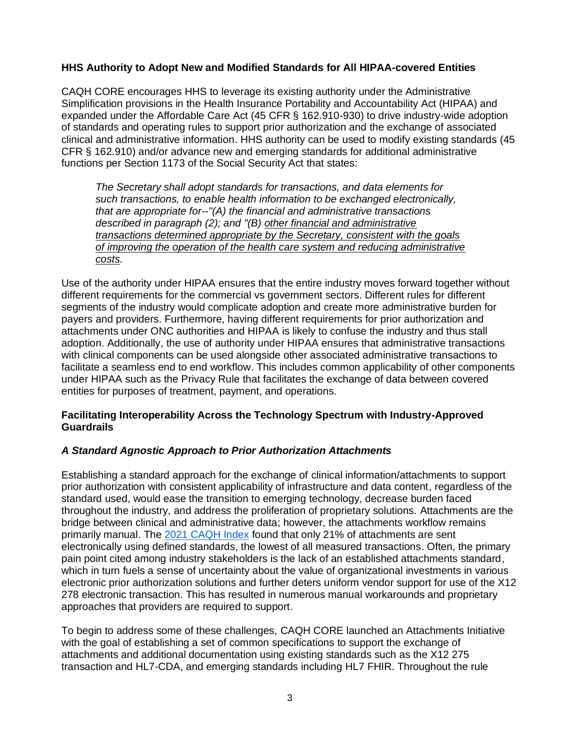### **HHS Authority to Adopt New and Modified Standards for All HIPAA-covered Entities**

CAQH CORE encourages HHS to leverage its existing authority under the Administrative Simplification provisions in the Health Insurance Portability and Accountability Act (HIPAA) and expanded under the Affordable Care Act (45 CFR § 162.910-930) to drive industry-wide adoption of standards and operating rules to support prior authorization and the exchange of associated clinical and administrative information. HHS authority can be used to modify existing standards (45 CFR § 162.910) and/or advance new and emerging standards for additional administrative functions per Section 1173 of the Social Security Act that states:

*The Secretary shall adopt standards for transactions, and data elements for such transactions, to enable health information to be exchanged electronically, that are appropriate for--"(A) the financial and administrative transactions described in paragraph (2); and "(B) other financial and administrative transactions determined appropriate by the Secretary, consistent with the goals of improving the operation of the health care system and reducing administrative costs.* 

Use of the authority under HIPAA ensures that the entire industry moves forward together without different requirements for the commercial vs government sectors. Different rules for different segments of the industry would complicate adoption and create more administrative burden for payers and providers. Furthermore, having different requirements for prior authorization and attachments under ONC authorities and HIPAA is likely to confuse the industry and thus stall adoption. Additionally, the use of authority under HIPAA ensures that administrative transactions with clinical components can be used alongside other associated administrative transactions to facilitate a seamless end to end workflow. This includes common applicability of other components under HIPAA such as the Privacy Rule that facilitates the exchange of data between covered entities for purposes of treatment, payment, and operations.

### **Facilitating Interoperability Across the Technology Spectrum with Industry-Approved Guardrails**

### *A Standard Agnostic Approach to Prior Authorization Attachments*

Establishing a standard approach for the exchange of clinical information/attachments to support prior authorization with consistent applicability of infrastructure and data content, regardless of the standard used, would ease the transition to emerging technology, decrease burden faced throughout the industry, and address the proliferation of proprietary solutions. Attachments are the bridge between clinical and administrative data; however, the attachments workflow remains primarily manual. The [2021 CAQH Index](https://www.caqh.org/sites/default/files/explorations/index/2021-caqh-index.pdf) found that only 21% of attachments are sent electronically using defined standards, the lowest of all measured transactions. Often, the primary pain point cited among industry stakeholders is the lack of an established attachments standard, which in turn fuels a sense of uncertainty about the value of organizational investments in various electronic prior authorization solutions and further deters uniform vendor support for use of the X12 278 electronic transaction. This has resulted in numerous manual workarounds and proprietary approaches that providers are required to support.

To begin to address some of these challenges, CAQH CORE launched an Attachments Initiative with the goal of establishing a set of common specifications to support the exchange of attachments and additional documentation using existing standards such as the X12 275 transaction and HL7-CDA, and emerging standards including HL7 FHIR. Throughout the rule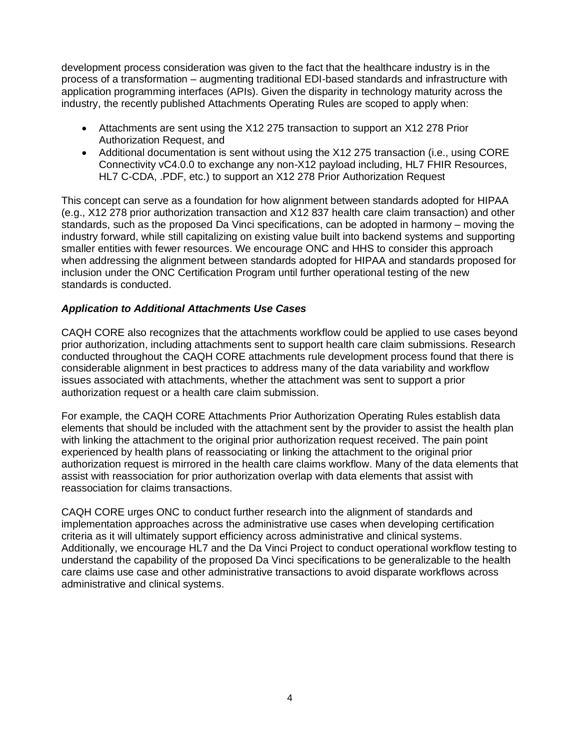development process consideration was given to the fact that the healthcare industry is in the process of a transformation – augmenting traditional EDI-based standards and infrastructure with application programming interfaces (APIs). Given the disparity in technology maturity across the industry, the recently published Attachments Operating Rules are scoped to apply when:

- Attachments are sent using the X12 275 transaction to support an X12 278 Prior Authorization Request, and
- Additional documentation is sent without using the X12 275 transaction (i.e., using CORE Connectivity vC4.0.0 to exchange any non-X12 payload including, HL7 FHIR Resources, HL7 C-CDA, .PDF, etc.) to support an X12 278 Prior Authorization Request

This concept can serve as a foundation for how alignment between standards adopted for HIPAA (e.g., X12 278 prior authorization transaction and X12 837 health care claim transaction) and other standards, such as the proposed Da Vinci specifications, can be adopted in harmony – moving the industry forward, while still capitalizing on existing value built into backend systems and supporting smaller entities with fewer resources. We encourage ONC and HHS to consider this approach when addressing the alignment between standards adopted for HIPAA and standards proposed for inclusion under the ONC Certification Program until further operational testing of the new standards is conducted.

# *Application to Additional Attachments Use Cases*

CAQH CORE also recognizes that the attachments workflow could be applied to use cases beyond prior authorization, including attachments sent to support health care claim submissions. Research conducted throughout the CAQH CORE attachments rule development process found that there is considerable alignment in best practices to address many of the data variability and workflow issues associated with attachments, whether the attachment was sent to support a prior authorization request or a health care claim submission.

For example, the CAQH CORE Attachments Prior Authorization Operating Rules establish data elements that should be included with the attachment sent by the provider to assist the health plan with linking the attachment to the original prior authorization request received. The pain point experienced by health plans of reassociating or linking the attachment to the original prior authorization request is mirrored in the health care claims workflow. Many of the data elements that assist with reassociation for prior authorization overlap with data elements that assist with reassociation for claims transactions.

CAQH CORE urges ONC to conduct further research into the alignment of standards and implementation approaches across the administrative use cases when developing certification criteria as it will ultimately support efficiency across administrative and clinical systems. Additionally, we encourage HL7 and the Da Vinci Project to conduct operational workflow testing to understand the capability of the proposed Da Vinci specifications to be generalizable to the health care claims use case and other administrative transactions to avoid disparate workflows across administrative and clinical systems.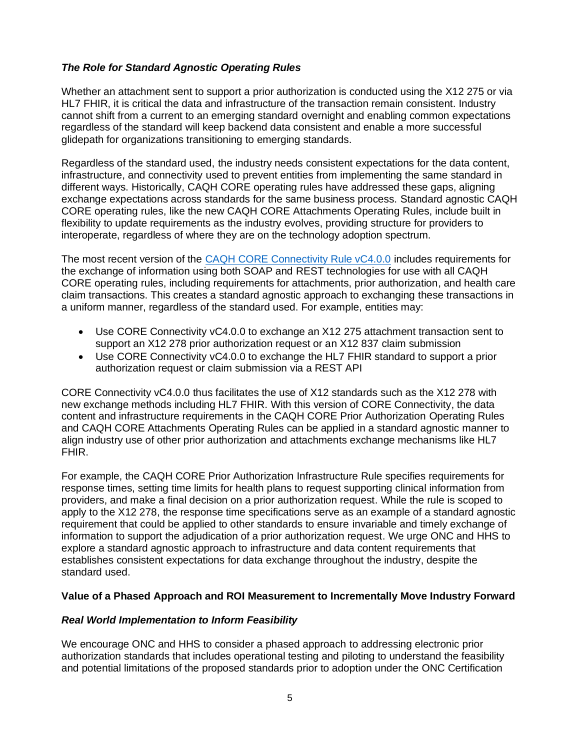# *The Role for Standard Agnostic Operating Rules*

Whether an attachment sent to support a prior authorization is conducted using the X12 275 or via HL7 FHIR, it is critical the data and infrastructure of the transaction remain consistent. Industry cannot shift from a current to an emerging standard overnight and enabling common expectations regardless of the standard will keep backend data consistent and enable a more successful glidepath for organizations transitioning to emerging standards.

Regardless of the standard used, the industry needs consistent expectations for the data content, infrastructure, and connectivity used to prevent entities from implementing the same standard in different ways. Historically, CAQH CORE operating rules have addressed these gaps, aligning exchange expectations across standards for the same business process. Standard agnostic CAQH CORE operating rules, like the new CAQH CORE Attachments Operating Rules, include built in flexibility to update requirements as the industry evolves, providing structure for providers to interoperate, regardless of where they are on the technology adoption spectrum.

The most recent version of the [CAQH CORE Connectivity Rule vC4.0.0](https://www.caqh.org/sites/default/files/core/CAQH%20CORE%20Connectivity%20Rule%20vC4.0.0_0.pdf) includes requirements for the exchange of information using both SOAP and REST technologies for use with all CAQH CORE operating rules, including requirements for attachments, prior authorization, and health care claim transactions. This creates a standard agnostic approach to exchanging these transactions in a uniform manner, regardless of the standard used. For example, entities may:

- Use CORE Connectivity vC4.0.0 to exchange an X12 275 attachment transaction sent to support an X12 278 prior authorization request or an X12 837 claim submission
- Use CORE Connectivity vC4.0.0 to exchange the HL7 FHIR standard to support a prior authorization request or claim submission via a REST API

CORE Connectivity vC4.0.0 thus facilitates the use of X12 standards such as the X12 278 with new exchange methods including HL7 FHIR. With this version of CORE Connectivity, the data content and infrastructure requirements in the CAQH CORE Prior Authorization Operating Rules and CAQH CORE Attachments Operating Rules can be applied in a standard agnostic manner to align industry use of other prior authorization and attachments exchange mechanisms like HL7 FHIR.

For example, the CAQH CORE Prior Authorization Infrastructure Rule specifies requirements for response times, setting time limits for health plans to request supporting clinical information from providers, and make a final decision on a prior authorization request. While the rule is scoped to apply to the X12 278, the response time specifications serve as an example of a standard agnostic requirement that could be applied to other standards to ensure invariable and timely exchange of information to support the adjudication of a prior authorization request. We urge ONC and HHS to explore a standard agnostic approach to infrastructure and data content requirements that establishes consistent expectations for data exchange throughout the industry, despite the standard used.

### **Value of a Phased Approach and ROI Measurement to Incrementally Move Industry Forward**

### *Real World Implementation to Inform Feasibility*

We encourage ONC and HHS to consider a phased approach to addressing electronic prior authorization standards that includes operational testing and piloting to understand the feasibility and potential limitations of the proposed standards prior to adoption under the ONC Certification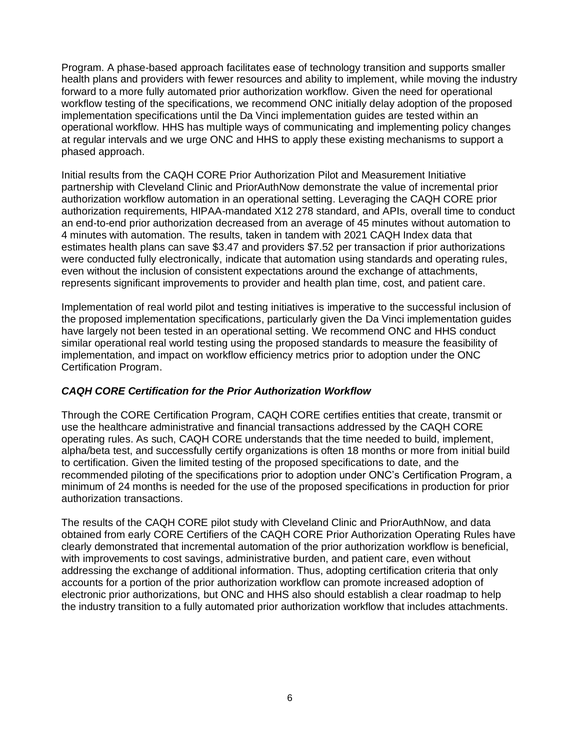Program. A phase-based approach facilitates ease of technology transition and supports smaller health plans and providers with fewer resources and ability to implement, while moving the industry forward to a more fully automated prior authorization workflow. Given the need for operational workflow testing of the specifications, we recommend ONC initially delay adoption of the proposed implementation specifications until the Da Vinci implementation guides are tested within an operational workflow. HHS has multiple ways of communicating and implementing policy changes at regular intervals and we urge ONC and HHS to apply these existing mechanisms to support a phased approach.

Initial results from the CAQH CORE Prior Authorization Pilot and Measurement Initiative partnership with Cleveland Clinic and PriorAuthNow demonstrate the value of incremental prior authorization workflow automation in an operational setting. Leveraging the CAQH CORE prior authorization requirements, HIPAA-mandated X12 278 standard, and APIs, overall time to conduct an end-to-end prior authorization decreased from an average of 45 minutes without automation to 4 minutes with automation. The results, taken in tandem with 2021 CAQH Index data that estimates health plans can save \$3.47 and providers \$7.52 per transaction if prior authorizations were conducted fully electronically, indicate that automation using standards and operating rules, even without the inclusion of consistent expectations around the exchange of attachments, represents significant improvements to provider and health plan time, cost, and patient care.

Implementation of real world pilot and testing initiatives is imperative to the successful inclusion of the proposed implementation specifications, particularly given the Da Vinci implementation guides have largely not been tested in an operational setting. We recommend ONC and HHS conduct similar operational real world testing using the proposed standards to measure the feasibility of implementation, and impact on workflow efficiency metrics prior to adoption under the ONC Certification Program.

### *CAQH CORE Certification for the Prior Authorization Workflow*

Through the CORE Certification Program, CAQH CORE certifies entities that create, transmit or use the healthcare administrative and financial transactions addressed by the CAQH CORE operating rules. As such, CAQH CORE understands that the time needed to build, implement, alpha/beta test, and successfully certify organizations is often 18 months or more from initial build to certification. Given the limited testing of the proposed specifications to date, and the recommended piloting of the specifications prior to adoption under ONC's Certification Program, a minimum of 24 months is needed for the use of the proposed specifications in production for prior authorization transactions.

The results of the CAQH CORE pilot study with Cleveland Clinic and PriorAuthNow, and data obtained from early CORE Certifiers of the CAQH CORE Prior Authorization Operating Rules have clearly demonstrated that incremental automation of the prior authorization workflow is beneficial, with improvements to cost savings, administrative burden, and patient care, even without addressing the exchange of additional information. Thus, adopting certification criteria that only accounts for a portion of the prior authorization workflow can promote increased adoption of electronic prior authorizations, but ONC and HHS also should establish a clear roadmap to help the industry transition to a fully automated prior authorization workflow that includes attachments.